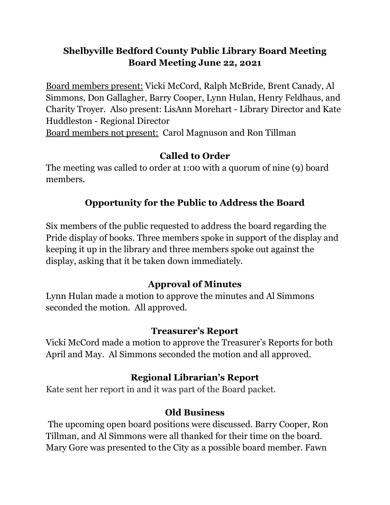### **Shelbyville Bedford County Public Library Board Meeting Board Meeting June 22, 2021**

Board members present: Vicki McCord, Ralph McBride, Brent Canady, Al Simmons, Don Gallagher, Barry Cooper, Lynn Hulan, Henry Feldhaus, and Charity Troyer. Also present: LisAnn Morehart - Library Director and Kate Huddleston - Regional Director

Board members not present: Carol Magnuson and Ron Tillman

### **Called to Order**

The meeting was called to order at 1:00 with a quorum of nine (9) board members.

# **Opportunity for the Public to Address the Board**

Six members of the public requested to address the board regarding the Pride display of books. Three members spoke in support of the display and keeping it up in the library and three members spoke out against the display, asking that it be taken down immediately.

## **Approval of Minutes**

Lynn Hulan made a motion to approve the minutes and Al Simmons seconded the motion. All approved.

## **Treasurer's Report**

Vicki McCord made a motion to approve the Treasurer's Reports for both April and May. Al Simmons seconded the motion and all approved.

## **Regional Librarian's Report**

Kate sent her report in and it was part of the Board packet.

## **Old Business**

The upcoming open board positions were discussed. Barry Cooper, Ron Tillman, and Al Simmons were all thanked for their time on the board. Mary Gore was presented to the City as a possible board member. Fawn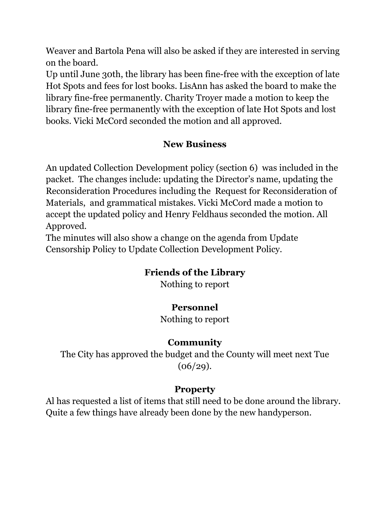Weaver and Bartola Pena will also be asked if they are interested in serving on the board.

Up until June 30th, the library has been fine-free with the exception of late Hot Spots and fees for lost books. LisAnn has asked the board to make the library fine-free permanently. Charity Troyer made a motion to keep the library fine-free permanently with the exception of late Hot Spots and lost books. Vicki McCord seconded the motion and all approved.

### **New Business**

An updated Collection Development policy (section 6) was included in the packet. The changes include: updating the Director's name, updating the Reconsideration Procedures including the Request for Reconsideration of Materials, and grammatical mistakes. Vicki McCord made a motion to accept the updated policy and Henry Feldhaus seconded the motion. All Approved.

The minutes will also show a change on the agenda from Update Censorship Policy to Update Collection Development Policy.

## **Friends of the Library**

Nothing to report

## **Personnel**

Nothing to report

## **Community**

The City has approved the budget and the County will meet next Tue  $(06/29).$ 

## **Property**

Al has requested a list of items that still need to be done around the library. Quite a few things have already been done by the new handyperson.